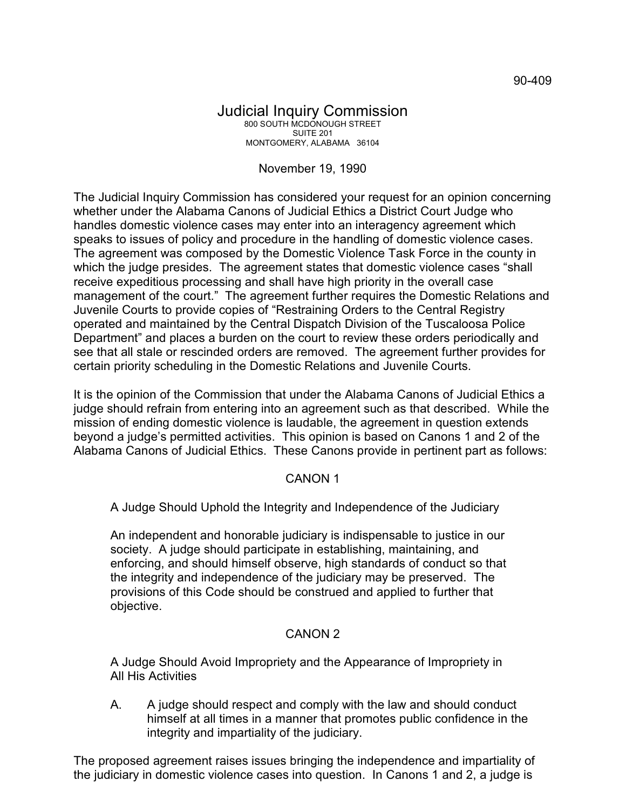#### Judicial Inquiry Commission 800 SOUTH MCDONOUGH STREET SUITE 201 MONTGOMERY, ALABAMA 36104

# November 19, 1990

The Judicial Inquiry Commission has considered your request for an opinion concerning whether under the Alabama Canons of Judicial Ethics a District Court Judge who handles domestic violence cases may enter into an interagency agreement which speaks to issues of policy and procedure in the handling of domestic violence cases. The agreement was composed by the Domestic Violence Task Force in the county in which the judge presides. The agreement states that domestic violence cases "shall receive expeditious processing and shall have high priority in the overall case management of the court." The agreement further requires the Domestic Relations and Juvenile Courts to provide copies of "Restraining Orders to the Central Registry operated and maintained by the Central Dispatch Division of the Tuscaloosa Police Department" and places a burden on the court to review these orders periodically and see that all stale or rescinded orders are removed. The agreement further provides for certain priority scheduling in the Domestic Relations and Juvenile Courts.

It is the opinion of the Commission that under the Alabama Canons of Judicial Ethics a judge should refrain from entering into an agreement such as that described. While the mission of ending domestic violence is laudable, the agreement in question extends beyond a judge's permitted activities. This opinion is based on Canons 1 and 2 of the Alabama Canons of Judicial Ethics. These Canons provide in pertinent part as follows:

## CANON 1

A Judge Should Uphold the Integrity and Independence of the Judiciary

An independent and honorable judiciary is indispensable to justice in our society. A judge should participate in establishing, maintaining, and enforcing, and should himself observe, high standards of conduct so that the integrity and independence of the judiciary may be preserved. The provisions of this Code should be construed and applied to further that objective.

## CANON 2

A Judge Should Avoid Impropriety and the Appearance of Impropriety in All His Activities

A. A judge should respect and comply with the law and should conduct himself at all times in a manner that promotes public confidence in the integrity and impartiality of the judiciary.

The proposed agreement raises issues bringing the independence and impartiality of the judiciary in domestic violence cases into question. In Canons 1 and 2, a judge is